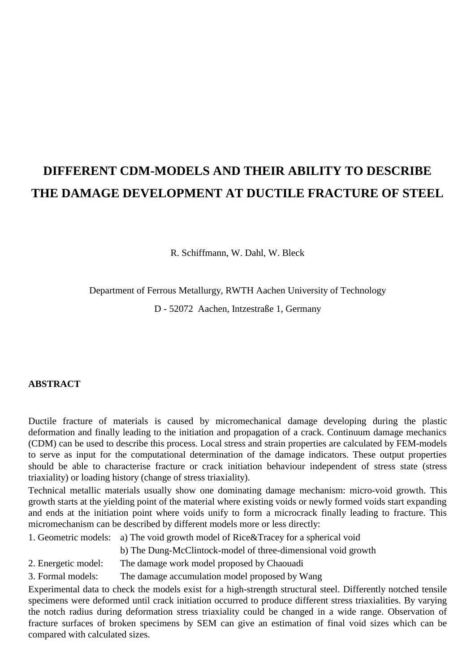# **DIFFERENT CDM-MODELS AND THEIR ABILITY TO DESCRIBE THE DAMAGE DEVELOPMENT AT DUCTILE FRACTURE OF STEEL**

R. Schiffmann, W. Dahl, W. Bleck

Department of Ferrous Metallurgy, RWTH Aachen University of Technology

D - 52072 Aachen, Intzestraße 1, Germany

# **ABSTRACT**

Ductile fracture of materials is caused by micromechanical damage developing during the plastic deformation and finally leading to the initiation and propagation of a crack. Continuum damage mechanics (CDM) can be used to describe this process. Local stress and strain properties are calculated by FEM-models to serve as input for the computational determination of the damage indicators. These output properties should be able to characterise fracture or crack initiation behaviour independent of stress state (stress triaxiality) or loading history (change of stress triaxiality).

Technical metallic materials usually show one dominating damage mechanism: micro-void growth. This growth starts at the yielding point of the material where existing voids or newly formed voids start expanding and ends at the initiation point where voids unify to form a microcrack finally leading to fracture. This micromechanism can be described by different models more or less directly:

1. Geometric models: a) The void growth model of Rice&Tracey for a spherical void

b) The Dung-McClintock-model of three-dimensional void growth

- 2. Energetic model: The damage work model proposed by Chaouadi
- 3. Formal models: The damage accumulation model proposed by Wang

Experimental data to check the models exist for a high-strength structural steel. Differently notched tensile specimens were deformed until crack initiation occurred to produce different stress triaxialities. By varying the notch radius during deformation stress triaxiality could be changed in a wide range. Observation of fracture surfaces of broken specimens by SEM can give an estimation of final void sizes which can be compared with calculated sizes.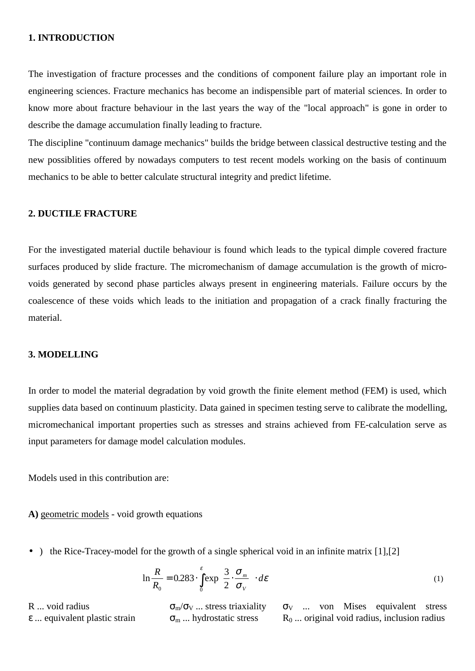#### **1. INTRODUCTION**

The investigation of fracture processes and the conditions of component failure play an important role in engineering sciences. Fracture mechanics has become an indispensible part of material sciences. In order to know more about fracture behaviour in the last years the way of the "local approach" is gone in order to describe the damage accumulation finally leading to fracture.

The discipline "continuum damage mechanics" builds the bridge between classical destructive testing and the new possiblities offered by nowadays computers to test recent models working on the basis of continuum mechanics to be able to better calculate structural integrity and predict lifetime.

# **2. DUCTILE FRACTURE**

For the investigated material ductile behaviour is found which leads to the typical dimple covered fracture surfaces produced by slide fracture. The micromechanism of damage accumulation is the growth of microvoids generated by second phase particles always present in engineering materials. Failure occurs by the coalescence of these voids which leads to the initiation and propagation of a crack finally fracturing the material.

# **3. MODELLING**

In order to model the material degradation by void growth the finite element method (FEM) is used, which supplies data based on continuum plasticity. Data gained in specimen testing serve to calibrate the modelling, micromechanical important properties such as stresses and strains achieved from FE-calculation serve as input parameters for damage model calculation modules.

Models used in this contribution are:

**A)** geometric models - void growth equations

• ) the Rice-Tracey-model for the growth of a single spherical void in an infinite matrix [1], [2]

$$
\ln \frac{R}{R_0} = 0.283 \cdot \int_0^{\varepsilon} \exp\left(\frac{3}{2} \cdot \frac{\sigma_m}{\sigma_v}\right) \cdot d\varepsilon \tag{1}
$$

R ... void radius  $\sigma_{m}/\sigma_{V}$  ... stress triaxiality  $\sigma_{V}$  ... von Mises equivalent stress  $\varepsilon$  ... equivalent plastic strain  $\sigma_m$  ... hydrostatic stress  $R_0$  ... original void radius, inclusion radius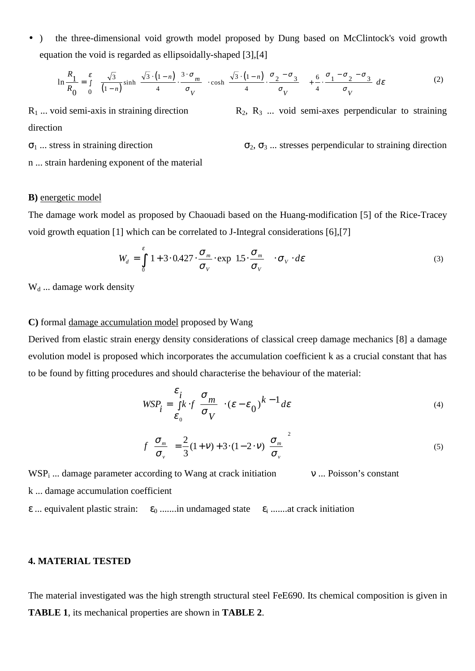• ) the three-dimensional void growth model proposed by Dung based on McClintock's void growth equation the void is regarded as ellipsoidally-shaped [3],[4]

$$
\ln \frac{R_1}{R_0} = \int_{0}^{\varepsilon} \left\{ \left[ \frac{\sqrt{3}}{(1-n)} \sinh \left( \frac{\sqrt{3} \cdot (1-n)}{4} \cdot \frac{3 \cdot \sigma_m}{\sigma_V} \right) \cdot \cosh \left( \frac{\sqrt{3} \cdot (1-n)}{4} \cdot \frac{\sigma_2 - \sigma_3}{\sigma_V} \right) \right] + \frac{6}{4} \cdot \frac{\sigma_1 - \sigma_2 - \sigma_3}{\sigma_V} \right\} d\varepsilon \tag{2}
$$

 $R_1$  ... void semi-axis in straining direction  $R_2$ ,  $R_3$  ... void semi-axes perpendicular to straining direction

 $\sigma_1$  ... stress in straining direction  $\sigma_2$ ,  $\sigma_3$  ... stresses perpendicular to straining direction

n ... strain hardening exponent of the material

## **B)** energetic model

The damage work model as proposed by Chaouadi based on the Huang-modification [5] of the Rice-Tracey void growth equation [1] which can be correlated to J-Integral considerations [6],[7]

$$
W_d = \int_0^{\varepsilon} \left[ 1 + 3 \cdot 0.427 \cdot \frac{\sigma_m}{\sigma_v} \cdot \exp\left( 1.5 \cdot \frac{\sigma_m}{\sigma_v} \right) \right] \cdot \sigma_v \cdot d\varepsilon \tag{3}
$$

 $W_d$  ... damage work density

#### **C)** formal damage accumulation model proposed by Wang

Derived from elastic strain energy density considerations of classical creep damage mechanics [8] a damage evolution model is proposed which incorporates the accumulation coefficient k as a crucial constant that has to be found by fitting procedures and should characterise the behaviour of the material:

$$
WSP_i = \frac{\varepsilon_i}{\varepsilon_0} k \cdot f \left( \frac{\sigma_m}{\sigma_V} \right) \cdot (\varepsilon - \varepsilon_0)^{k-1} d\varepsilon \tag{4}
$$

$$
f\left(\frac{\sigma_m}{\sigma_v}\right) = \frac{2}{3}(1+v) + 3 \cdot (1-2 \cdot v) \left(\frac{\sigma_m}{\sigma_v}\right)^2 \tag{5}
$$

 $WSP_i$  ... damage parameter according to Wang at crack initiation  $V \dots$  Poisson's constant

k ... damage accumulation coefficient

 $\epsilon$  ... equivalent plastic strain:  $\epsilon_0$  .......in undamaged state  $\epsilon_i$  .......at crack initiation

#### **4. MATERIAL TESTED**

The material investigated was the high strength structural steel FeE690. Its chemical composition is given in **TABLE 1**, its mechanical properties are shown in **TABLE 2**.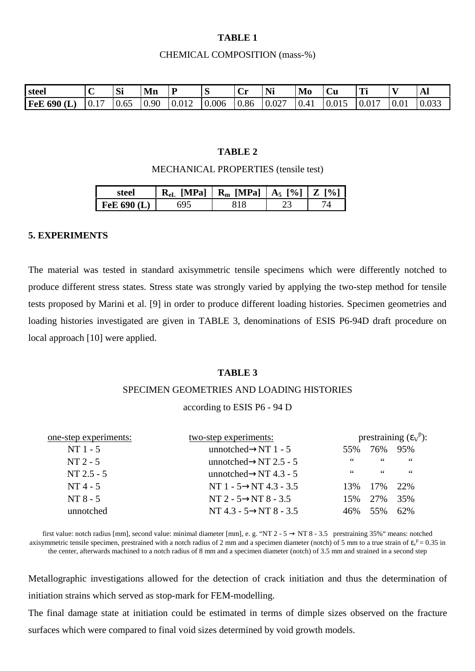# **TABLE 1**

#### CHEMICAL COMPOSITION (mass-%)

| steel              | $\sim$ | Si         | Mr   | D<br>- | N     | ◡    | NI:<br>*** | Mo   | $\sim$<br>ÙU | Tн<br>-11 |      | Al    |
|--------------------|--------|------------|------|--------|-------|------|------------|------|--------------|-----------|------|-------|
| <b>FeE 690 (I)</b> | 10.1   | --<br>0.65 | 0.90 | 0.012  | 0.006 | 0.86 | 10.027     | 0.41 | 0.015        | 10.017    | 0.01 | 0.033 |

## **TABLE 2**

#### MECHANICAL PROPERTIES (tensile test)

| steel         |     | $R_{eL}$ [MPa]   $R_m$ [MPa]   $A_5$ [%]   Z [%] |  |
|---------------|-----|--------------------------------------------------|--|
| FeE $690$ (L) | 695 |                                                  |  |

#### **5. EXPERIMENTS**

The material was tested in standard axisymmetric tensile specimens which were differently notched to produce different stress states. Stress state was strongly varied by applying the two-step method for tensile tests proposed by Marini et al. [9] in order to produce different loading histories. Specimen geometries and loading histories investigated are given in TABLE 3, denominations of ESIS P6-94D draft procedure on local approach [10] were applied.

#### **TABLE 3**

# SPECIMEN GEOMETRIES AND LOADING HISTORIES

#### according to ESIS P6 - 94 D

| one-step experiments: | two-step experiments:                |     | prestraining $(\epsilon_V^p)$ : |     |  |  |
|-----------------------|--------------------------------------|-----|---------------------------------|-----|--|--|
| $NT1 - 5$             | unnotched $\rightarrow$ NT 1 - 5     | 55% | 76%                             | 95% |  |  |
| $NT2 - 5$             | unnotched $\rightarrow$ NT 2.5 - 5   | 66  | 66                              | 66  |  |  |
| $NT 2.5 - 5$          | unnotched $\rightarrow$ NT 4.3 - 5   | 66  | 66                              | 66  |  |  |
| $NT4 - 5$             | NT 1 - $5 \rightarrow$ NT 4.3 - 3.5  | 13% | 17%                             | 22% |  |  |
| $NT 8 - 5$            | NT 2 - $5 \rightarrow$ NT 8 - 3.5    | 15% | 2.7%                            | 35% |  |  |
| unnotched             | NT 4.3 - $5 \rightarrow N T 8 - 3.5$ | 46% | 55%                             | 62% |  |  |
|                       |                                      |     |                                 |     |  |  |

first value: notch radius [mm], second value: minimal diameter [mm], e. g. "NT 2 - 5  $\rightarrow$  NT 8 - 3.5 prestraining 35%" means: notched axisymmetric tensile specimen, prestrained with a notch radius of 2 mm and a specimen diameter (notch) of 5 mm to a true strain of  $\epsilon_v^p = 0.35$  in the center, afterwards machined to a notch radius of 8 mm and a specimen diameter (notch) of 3.5 mm and strained in a second step

Metallographic investigations allowed for the detection of crack initiation and thus the determination of initiation strains which served as stop-mark for FEM-modelling.

The final damage state at initiation could be estimated in terms of dimple sizes observed on the fracture surfaces which were compared to final void sizes determined by void growth models.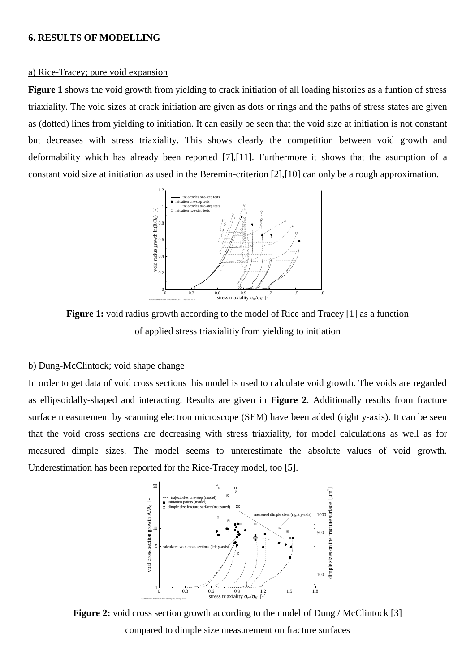#### **6. RESULTS OF MODELLING**

#### a) Rice-Tracey; pure void expansion

**Figure 1** shows the void growth from yielding to crack initiation of all loading histories as a funtion of stress triaxiality. The void sizes at crack initiation are given as dots or rings and the paths of stress states are given as (dotted) lines from yielding to initiation. It can easily be seen that the void size at initiation is not constant but decreases with stress triaxiality. This shows clearly the competition between void growth and deformability which has already been reported [7],[11]. Furthermore it shows that the asumption of a constant void size at initiation as used in the Beremin-criterion [2],[10] can only be a rough approximation.



**Figure 1:** void radius growth according to the model of Rice and Tracey [1] as a function of applied stress triaxialitiy from yielding to initiation

# b) Dung-McClintock; void shape change

In order to get data of void cross sections this model is used to calculate void growth. The voids are regarded as ellipsoidally-shaped and interacting. Results are given in **Figure 2**. Additionally results from fracture surface measurement by scanning electron microscope (SEM) have been added (right y-axis). It can be seen that the void cross sections are decreasing with stress triaxiality, for model calculations as well as for measured dimple sizes. The model seems to unterestimate the absolute values of void growth. Underestimation has been reported for the Rice-Tracey model, too [5].



**Figure 2:** void cross section growth according to the model of Dung / McClintock [3] compared to dimple size measurement on fracture surfaces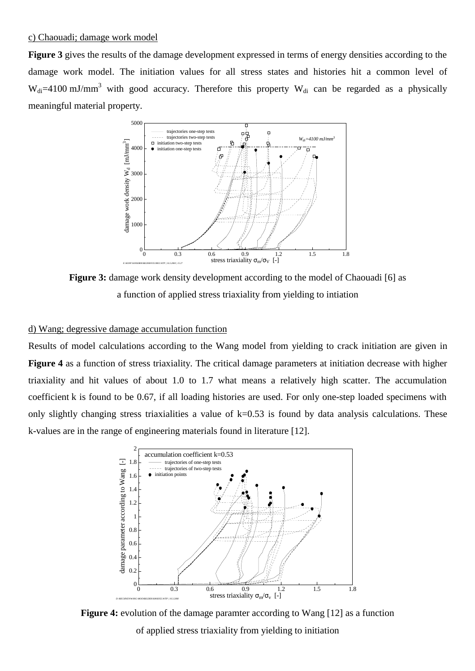**Figure 3** gives the results of the damage development expressed in terms of energy densities according to the damage work model. The initiation values for all stress states and histories hit a common level of  $W_{di} = 4100 \text{ mJ/mm}^3$  with good accuracy. Therefore this property  $W_{di}$  can be regarded as a physically meaningful material property.



**Figure 3:** damage work density development according to the model of Chaouadi [6] as a function of applied stress triaxiality from yielding to intiation

# d) Wang; degressive damage accumulation function

Results of model calculations according to the Wang model from yielding to crack initiation are given in **Figure 4** as a function of stress triaxiality. The critical damage parameters at initiation decrease with higher triaxiality and hit values of about 1.0 to 1.7 what means a relatively high scatter. The accumulation coefficient k is found to be 0.67, if all loading histories are used. For only one-step loaded specimens with only slightly changing stress triaxialities a value of  $k=0.53$  is found by data analysis calculations. These k-values are in the range of engineering materials found in literature [12].



**Figure 4:** evolution of the damage paramter according to Wang [12] as a function of applied stress triaxiality from yielding to initiation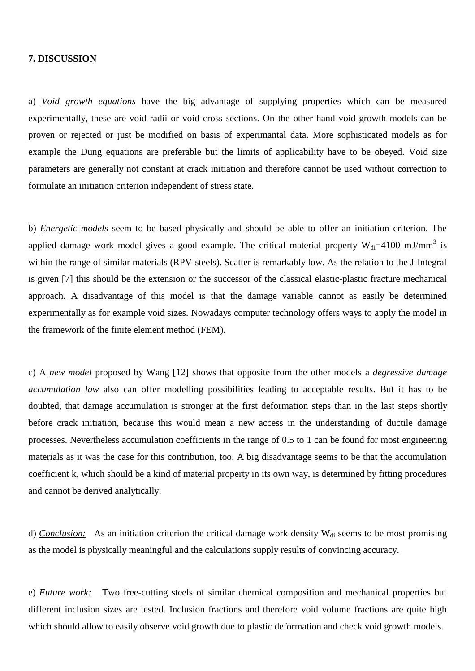#### **7. DISCUSSION**

a) *Void growth equations* have the big advantage of supplying properties which can be measured experimentally, these are void radii or void cross sections. On the other hand void growth models can be proven or rejected or just be modified on basis of experimantal data. More sophisticated models as for example the Dung equations are preferable but the limits of applicability have to be obeyed. Void size parameters are generally not constant at crack initiation and therefore cannot be used without correction to formulate an initiation criterion independent of stress state.

b) *Energetic models* seem to be based physically and should be able to offer an initiation criterion. The applied damage work model gives a good example. The critical material property  $W_{di}=4100$  mJ/mm<sup>3</sup> is within the range of similar materials (RPV-steels). Scatter is remarkably low. As the relation to the J-Integral is given [7] this should be the extension or the successor of the classical elastic-plastic fracture mechanical approach. A disadvantage of this model is that the damage variable cannot as easily be determined experimentally as for example void sizes. Nowadays computer technology offers ways to apply the model in the framework of the finite element method (FEM).

c) A *new model* proposed by Wang [12] shows that opposite from the other models a *degressive damage accumulation law* also can offer modelling possibilities leading to acceptable results. But it has to be doubted, that damage accumulation is stronger at the first deformation steps than in the last steps shortly before crack initiation, because this would mean a new access in the understanding of ductile damage processes. Nevertheless accumulation coefficients in the range of 0.5 to 1 can be found for most engineering materials as it was the case for this contribution, too. A big disadvantage seems to be that the accumulation coefficient k, which should be a kind of material property in its own way, is determined by fitting procedures and cannot be derived analytically.

d) *Conclusion:* As an initiation criterion the critical damage work density W<sub>di</sub> seems to be most promising as the model is physically meaningful and the calculations supply results of convincing accuracy.

e) *Future work:* Two free-cutting steels of similar chemical composition and mechanical properties but different inclusion sizes are tested. Inclusion fractions and therefore void volume fractions are quite high which should allow to easily observe void growth due to plastic deformation and check void growth models.